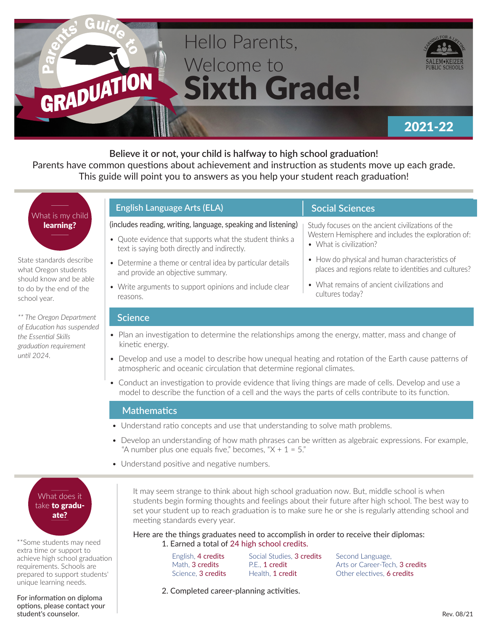

**Believe it or not, your child is halfway to high school graduation!**  Parents have common questions about achievement and instruction as students move up each grade. This guide will point you to answers as you help your student reach graduation!

# What is my child learning?

State standards describe what Oregon students should know and be able to do by the end of the school year.

*\*\* The Oregon Department of Education has suspended the Essential Skills graduation requirement until 2024.*

#### **English Language Arts (ELA)**

#### (includes reading, writing, language, speaking and listening)

- Quote evidence that supports what the student thinks a text is saying both directly and indirectly.
- Determine a theme or central idea by particular details and provide an objective summary.
- Write arguments to support opinions and include clear reasons.

# **Social Sciences**

Study focuses on the ancient civilizations of the Western Hemisphere and includes the exploration of:

- What is civilization?
- How do physical and human characteristics of places and regions relate to identities and cultures?
- What remains of ancient civilizations and cultures today?

#### **Science**

- Plan an investigation to determine the relationships among the energy, matter, mass and change of kinetic energy.
- Develop and use a model to describe how unequal heating and rotation of the Earth cause patterns of atmospheric and oceanic circulation that determine regional climates.
- Conduct an investigation to provide evidence that living things are made of cells. Develop and use a model to describe the function of a cell and the ways the parts of cells contribute to its function.

#### **Mathematics**

- Understand ratio concepts and use that understanding to solve math problems.
- Develop an understanding of how math phrases can be written as algebraic expressions. For example, "A number plus one equals five," becomes, " $X + 1 = 5$ ."
- Understand positive and negative numbers.

## What does it take to graduate?

\*\*Some students may need extra time or support to achieve high school graduation requirements. Schools are prepared to support students' unique learning needs.

For information on diploma options, please contact your student's counselor.

It may seem strange to think about high school graduation now. But, middle school is when students begin forming thoughts and feelings about their future after high school. The best way to set your student up to reach graduation is to make sure he or she is regularly attending school and meeting standards every year.

Here are the things graduates need to accomplish in order to receive their diplomas: 1. Earned a total of 24 high school credits.

> English, 4 credits Math, 3 credits Science, 3 credits

Social Studies, 3 credits P.E., 1 credit Health, 1 credit

Second Language, Arts or Career-Tech, 3 credits Other electives, 6 credits

2. Completed career-planning activities.